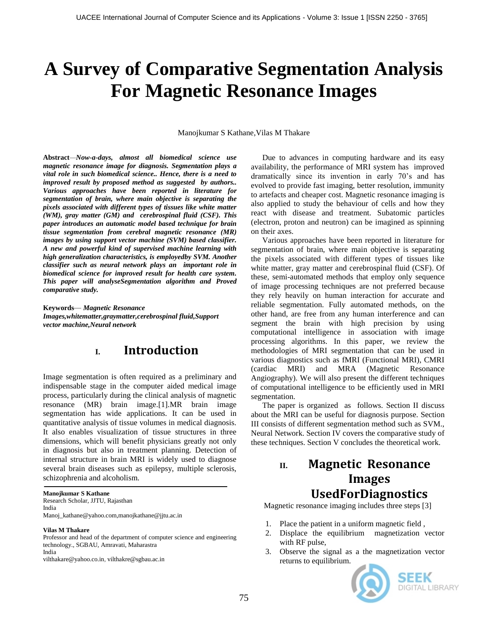# **A Survey of Comparative Segmentation Analysis For Magnetic Resonance Images**

Manojkumar S Kathane,Vilas M Thakare

**Abstract***—Now-a-days, almost all biomedical science use magnetic resonance image for diagnosis. Segmentation plays a vital role in such biomedical science.. Hence, there is a need to improved result by proposed method as suggested by authors.. Various approaches have been reported in literature for segmentation of brain, where main objective is separating the pixels associated with different types of tissues like white matter (WM), gray matter (GM) and cerebrospinal fluid (CSF). This paper introduces an automatic model based technique for brain tissue segmentation from cerebral magnetic resonance (MR) images by using support vector machine (SVM) based classifier. A new and powerful kind of supervised machine learning with high generalization characteristics, is employedby SVM. Another classifier such as neural network plays an important role in biomedical science for improved result for health care system. This paper will analyseSegmentation algorithm and Proved comparative study.*

**Keywords***— Magnetic Resonance Images,whitematter,graymatter,cerebrospinal fluid,Support vector machine,Neural network*

## **I. Introduction**

Image segmentation is often required as a preliminary and indispensable stage in the computer aided medical image process, particularly during the clinical analysis of magnetic resonance (MR) brain image.[1].MR brain image segmentation has wide applications. It can be used in quantitative analysis of tissue volumes in medical diagnosis. It also enables visualization of tissue structures in three dimensions, which will benefit physicians greatly not only in diagnosis but also in treatment planning. Detection of internal structure in brain MRI is widely used to diagnose several brain diseases such as epilepsy, multiple sclerosis, schizophrenia and alcoholism.

#### **Manojkumar S Kathane**

Research Scholar, JJTU, Rajasthan India

Manoj\_kathane@yahoo.com,manojkathane@jjtu.ac.in

#### **Vilas M Thakare**

Professor and head of the department of computer science and engineering technology., SGBAU, Amravati, Maharastra India

vilthakare@yahoo.co.in, vilthakre@sgbau.ac.in

Due to advances in computing hardware and its easy availability, the performance of MRI system has improved dramatically since its invention in early 70"s and has evolved to provide fast imaging, better resolution, immunity to artefacts and cheaper cost. Magnetic resonance imaging is also applied to study the behaviour of cells and how they react with disease and treatment. Subatomic particles (electron, proton and neutron) can be imagined as spinning on their axes.

Various approaches have been reported in literature for segmentation of brain, where main objective is separating the pixels associated with different types of tissues like white matter, gray matter and cerebrospinal fluid (CSF). Of these, semi-automated methods that employ only sequence of image processing techniques are not preferred because they rely heavily on human interaction for accurate and reliable segmentation. Fully automated methods, on the other hand, are free from any human interference and can segment the brain with high precision by using computational intelligence in association with image processing algorithms. In this paper, we review the methodologies of MRI segmentation that can be used in various diagnostics such as fMRI (Functional MRI), CMRI (cardiac MRI) and MRA (Magnetic Resonance Angiography). We will also present the different techniques of computational intelligence to be efficiently used in MRI segmentation.

The paper is organized as follows. Section II discuss about the MRI can be useful for diagnosis purpose. Section III consists of different segmentation method such as SVM., Neural Network. Section IV covers the comparative study of these techniques. Section V concludes the theoretical work.

# **II. Magnetic Resonance Images UsedForDiagnostics**

Magnetic resonance imaging includes three steps [3]

- 1. Place the patient in a uniform magnetic field ,
- 2. Displace the equilibrium magnetization vector with RF pulse,
- 3. Observe the signal as a the magnetization vector returns to equilibrium.

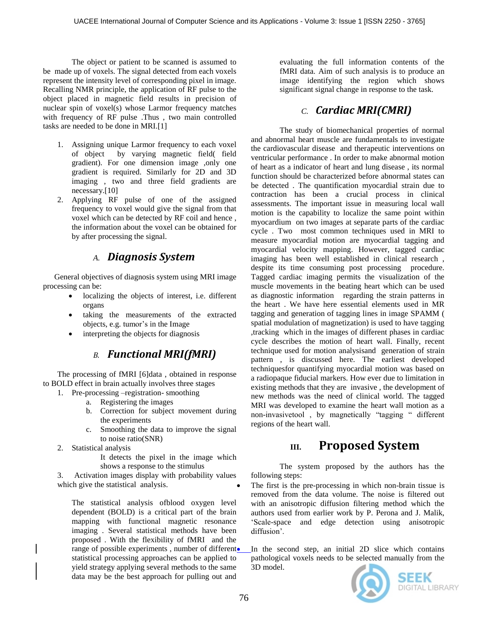The object or patient to be scanned is assumed to be made up of voxels. The signal detected from each voxels represent the intensity level of corresponding pixel in image. Recalling NMR principle, the application of RF pulse to the object placed in magnetic field results in precision of nuclear spin of voxel(s) whose Larmor frequency matches with frequency of RF pulse .Thus , two main controlled tasks are needed to be done in MRI.[1]

- 1. Assigning unique Larmor frequency to each voxel of object by varying magnetic field( field gradient). For one dimension image ,only one gradient is required. Similarly for 2D and 3D imaging , two and three field gradients are necessary.[10]
- 2. Applying RF pulse of one of the assigned frequency to voxel would give the signal from that voxel which can be detected by RF coil and hence , the information about the voxel can be obtained for by after processing the signal.

### *A. Diagnosis System*

General objectives of diagnosis system using MRI image processing can be:

- localizing the objects of interest, i.e. different organs
- taking the measurements of the extracted objects, e.g. tumor"s in the Image
- interpreting the objects for diagnosis

## *B. Functional MRI(fMRI)*

The processing of fMRI [6]data , obtained in response to BOLD effect in brain actually involves three stages

- 1. Pre-processing –registration- smoothing
	- a. Registering the images
	- b. Correction for subject movement during the experiments
	- c. Smoothing the data to improve the signal to noise ratio(SNR)
- 2. Statistical analysis
	- It detects the pixel in the image which shows a response to the stimulus

3. Activation images display with probability values which give the statistical analysis.

The statistical analysis ofblood oxygen level dependent (BOLD) is a critical part of the brain mapping with functional magnetic resonance imaging . Several statistical methods have been proposed . With the flexibility of fMRI and the range of possible experiments, number of different. statistical processing approaches can be applied to yield strategy applying several methods to the same data may be the best approach for pulling out and

evaluating the full information contents of the fMRI data. Aim of such analysis is to produce an image identifying the region which shows significant signal change in response to the task.

## *C. Cardiac MRI(CMRI)*

The study of biomechanical properties of normal and abnormal heart muscle are fundamentals to investigate the cardiovascular disease and therapeutic interventions on ventricular performance . In order to make abnormal motion of heart as a indicator of heart and lung disease , its normal function should be characterized before abnormal states can be detected . The quantification myocardial strain due to contraction has been a crucial process in clinical assessments. The important issue in measuring local wall motion is the capability to localize the same point within myocardium on two images at separate parts of the cardiac cycle . Two most common techniques used in MRI to measure myocardial motion are myocardial tagging and myocardial velocity mapping. However, tagged cardiac imaging has been well established in clinical research , despite its time consuming post processing procedure. Tagged cardiac imaging permits the visualization of the muscle movements in the beating heart which can be used as diagnostic information regarding the strain patterns in the heart . We have here essential elements used in MR tagging and generation of tagging lines in image SPAMM ( spatial modulation of magnetization) is used to have tagging ,tracking which in the images of different phases in cardiac cycle describes the motion of heart wall. Finally, recent technique used for motion analysisand generation of strain pattern , is discussed here. The earliest developed techniquesfor quantifying myocardial motion was based on a radiopaque fiducial markers. How ever due to limitation in existing methods that they are invasive , the development of new methods was the need of clinical world. The tagged MRI was developed to examine the heart wall motion as a non-invasivetool , by magnetically "tagging " different regions of the heart wall.

# **III. Proposed System**

The system proposed by the authors has the following steps:

 The first is the pre-processing in which non-brain tissue is removed from the data volume. The noise is filtered out with an anisotropic diffusion filtering method which the authors used from earlier work by P. Perona and J. Malik, "Scale-space and edge detection using anisotropic diffusion'.

 In the second step, an initial 2D slice which contains pathological voxels needs to be selected manually from the 3D model.

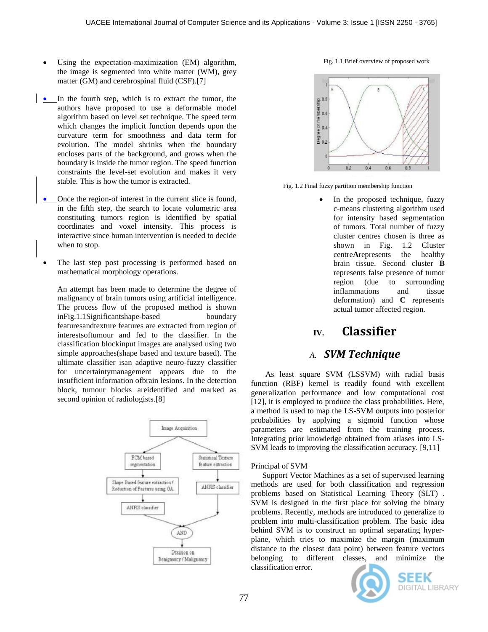- Using the expectation-maximization (EM) algorithm, the image is segmented into white matter (WM), grey matter (GM) and cerebrospinal fluid (CSF).[7]
- In the fourth step, which is to extract the tumor, the authors have proposed to use a deformable model algorithm based on level set technique. The speed term which changes the implicit function depends upon the curvature term for smoothness and data term for evolution. The model shrinks when the boundary encloses parts of the background, and grows when the boundary is inside the tumor region. The speed function constraints the level-set evolution and makes it very stable. This is how the tumor is extracted.
- Once the region-of interest in the current slice is found, in the fifth step, the search to locate volumetric area constituting tumors region is identified by spatial coordinates and voxel intensity. This process is interactive since human intervention is needed to decide when to stop.
- The last step post processing is performed based on mathematical morphology operations.

An attempt has been made to determine the degree of malignancy of brain tumors using artificial intelligence. The process flow of the proposed method is shown inFig.1.1Significantshape-based boundary featuresandtexture features are extracted from region of interestsoftumour and fed to the classifier. In the classification blockinput images are analysed using two simple approaches(shape based and texture based). The ultimate classifier isan adaptive neuro-fuzzy classifier for uncertaintymanagement appears due to the insufficient information ofbrain lesions. In the detection block, tumour blocks areidentified and marked as second opinion of radiologists.[8]







Fig. 1.2 Final fuzzy partition membership function

 In the proposed technique, fuzzy c-means clustering algorithm used for intensity based segmentation of tumors. Total number of fuzzy cluster centres chosen is three as shown in Fig. 1.2 Cluster centre**A**represents the healthy brain tissue. Second cluster **B**  represents false presence of tumor region (due to surrounding inflammations and tissue deformation) and **C** represents actual tumor affected region.

### **IV. Classifier**

#### *A. SVM Technique*

As least square SVM (LSSVM) with radial basis function (RBF) kernel is readily found with excellent generalization performance and low computational cost [12], it is employed to produce the class probabilities. Here, a method is used to map the LS-SVM outputs into posterior probabilities by applying a sigmoid function whose parameters are estimated from the training process. Integrating prior knowledge obtained from atlases into LS-SVM leads to improving the classification accuracy. [9,11]

#### Principal of SVM

Support Vector Machines as a set of supervised learning methods are used for both classification and regression problems based on Statistical Learning Theory (SLT) . SVM is designed in the first place for solving the binary problems. Recently, methods are introduced to generalize to problem into multi-classification problem. The basic idea behind SVM is to construct an optimal separating hyperplane, which tries to maximize the margin (maximum distance to the closest data point) between feature vectors belonging to different classes, and minimize the classification error.



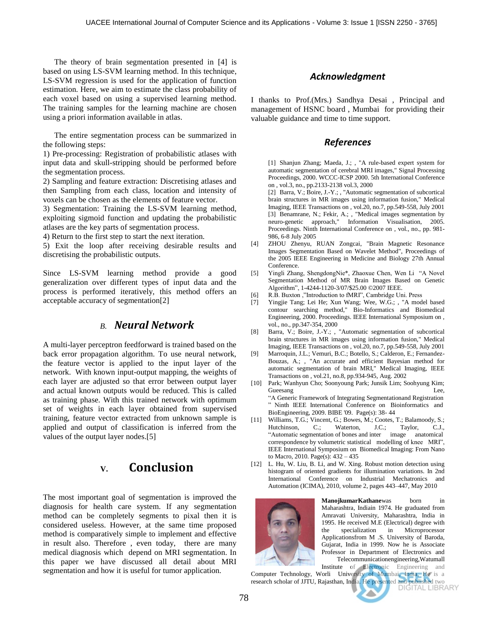The theory of brain segmentation presented in [4] is based on using LS-SVM learning method. In this technique, LS-SVM regression is used for the application of function estimation. Here, we aim to estimate the class probability of each voxel based on using a supervised learning method. The training samples for the learning machine are chosen using a priori information available in atlas.

The entire segmentation process can be summarized in the following steps:

1) Pre-processing: Registration of probabilistic atlases with input data and skull-stripping should be performed before the segmentation process.

2) Sampling and feature extraction: Discretising atlases and then Sampling from each class, location and intensity of voxels can be chosen as the elements of feature vector.

3) Segmentation: Training the LS-SVM learning method, exploiting sigmoid function and updating the probabilistic atlases are the key parts of segmentation process.

4) Return to the first step to start the next iteration.

5) Exit the loop after receiving desirable results and discretising the probabilistic outputs.

Since LS-SVM learning method provide a good generalization over different types of input data and the process is performed iteratively, this method offers an acceptable accuracy of segmentation[2]

#### *B. Neural Network*

A multi-layer perceptron feedforward is trained based on the back error propagation algorithm. To use neural network, the feature vector is applied to the input layer of the network. With known input-output mapping, the weights of each layer are adjusted so that error between output layer and actual known outputs would be reduced. This is called as training phase. With this trained network with optimum set of weights in each layer obtained from supervised training, feature vector extracted from unknown sample is applied and output of classification is inferred from the values of the output layer nodes.[5]

## **V. Conclusion**

The most important goal of segmentation is improved the diagnosis for health care system. If any segmentation method can be completely segments to pixal then it is considered useless. However, at the same time proposed method is comparatively simple to implement and effective in result also. Therefore , even today, there are many medical diagnosis which depend on MRI segmentation. In this paper we have discussed all detail about MRI segmentation and how it is useful for tumor application.

#### *Acknowledgment*

I thanks to Prof.(Mrs.) Sandhya Desai , Principal and management of HSNC board , Mumbai for providing their valuable guidance and time to time support.

#### *References*

[1] Shanjun Zhang; Maeda, J.; , "A rule-based expert system for automatic segmentation of cerebral MRI images," Signal Processing Proceedings, 2000. WCCC-ICSP 2000. 5th International Conference on , vol.3, no., pp.2133-2138 vol.3, 2000

[2] Barra, V.; Boire, J.-Y.; , "Automatic segmentation of subcortical brain structures in MR images using information fusion," Medical Imaging, IEEE Transactions on , vol.20, no.7, pp.549-558, July 2001 [3] Benamrane, N.; Fekir, A.; , "Medical images segmentation by neuro-genetic approach," Information Visualisation, 2005. Proceedings. Ninth International Conference on , vol., no., pp. 981- 986, 6-8 July 2005

- [4] ZHOU Zhenyu, RUAN Zongcai, "Brain Magnetic Resonance Images Segmentation Based on Wavelet Method", Proceedings of the 2005 IEEE Engineering in Medicine and Biology 27th Annual Conference.
- [5] Yingli Zhang, ShengdongNie\*, Zhaoxue Chen, Wen Li "A Novel Segmentation Method of MR Brain Images Based on Genetic Algorithm", 1-4244-1120-3/07/\$25.00 ©2007 IEEE.
- [6] R.B. Buxton ,"Introduction to fMRI", Cambridge Uni. Press
- [7] Yingjie Tang; Lei He; Xun Wang; Wee, W.G.; , "A model based contour searching method," Bio-Informatics and Biomedical Engineering, 2000. Proceedings. IEEE International Symposium on , vol., no., pp.347-354, 2000
- [8] Barra, V.; Boire, J.-Y.; , "Automatic segmentation of subcortical brain structures in MR images using information fusion," Medical Imaging, IEEE Transactions on , vol.20, no.7, pp.549-558, July 2001
- [9] Marroquin, J.L.; Vemuri, B.C.; Botello, S.; Calderon, E.; Fernandez-Bouzas, A.; , "An accurate and efficient Bayesian method for automatic segmentation of brain MRI," Medical Imaging, IEEE Transactions on , vol.21, no.8, pp.934-945, Aug. 2002
- [10] Park; Wanhyun Cho; Soonyoung Park; Junsik Lim; Soohyung Kim; Gueesang Lee, **Lee**, **Lee**, **Lee**, **Lee**, **Lee**, **Lee**, **Lee**, **Lee**, **Lee**, **Lee**, **Lee**, **Lee**, **Lee**, **Lee**, **Lee**, **Lee**, **Lee**, **Lee**, **Lee**, **Lee**, **Lee**, **Lee**, **Lee**, **Lee**, **Lee**, **Lee**, **Lee**, **Lee**, **Lee**, **Lee** "A Generic Framework of Integrating Segmentationand Registration " Ninth IEEE International Conference on Bioinformatics and BioEngineering, 2009. BIBE '09. Page(s): 38- 44
- [11] Williams, T.G.; Vincent, G.; Bowes, M.; Cootes, T.; Balamoody, S.; Hutchinson, C.; Waterton, J.C.; Taylor, C.J., "Automatic segmentation of bones and inter image anatomical correspondence by volumetric statistical modelling of knee MRI", IEEE International Symposium on Biomedical Imaging: From Nano to Macro, 2010. Page(s): 432 – 435
- [12] L. Hu, W. Liu, B. Li, and W. Xing. Robust motion detection using histogram of oriented gradients for illumination variations. In 2nd International Conference on Industrial Mechatronics and Automation (ICIMA), 2010, volume 2, pages 443–447, May 2010



**ManojkumarKathanewas** born in Maharashtra, Indiain 1974. He graduated from Amravati University, Maharashtra, India in 1995. He received M.E (Electrical) degree with the specialization in Microprocessor Applicationsfrom M .S. University of Baroda, Gujarat, India in 1999. Now he is Associate Professor in Department of Electronics and Telecommunicationengineering,Watumall

Institute of Electronic Engineering and Computer Technology, Worli University of Mumbai, India, He is a research scholar of JJTU, Rajasthan, India. He presented and published two<br>DIGITAL LIBRARY